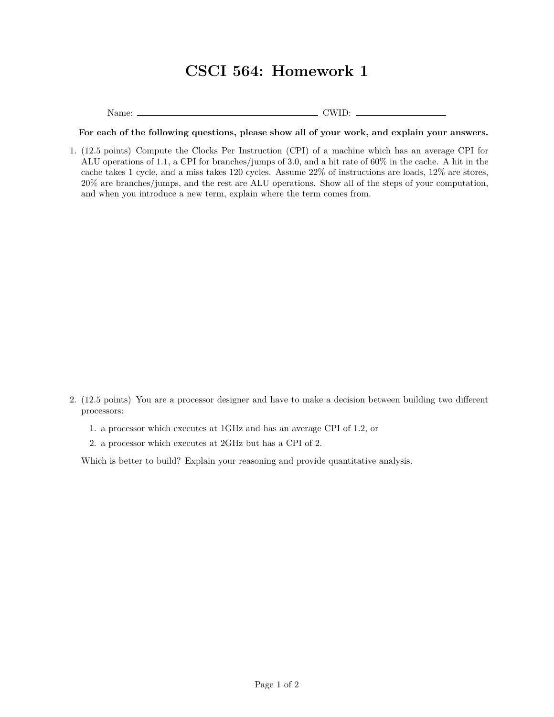## **CSCI 564: Homework 1**

Name: CWID:

**For each of the following questions, please show all of your work, and explain your answers.**

1. (12.5 points) Compute the Clocks Per Instruction (CPI) of a machine which has an average CPI for ALU operations of 1.1, a CPI for branches/jumps of 3.0, and a hit rate of 60% in the cache. A hit in the cache takes 1 cycle, and a miss takes 120 cycles. Assume 22% of instructions are loads, 12% are stores, 20% are branches/jumps, and the rest are ALU operations. Show all of the steps of your computation, and when you introduce a new term, explain where the term comes from.

- 2. (12.5 points) You are a processor designer and have to make a decision between building two different processors:
	- 1. a processor which executes at 1GHz and has an average CPI of 1.2, or
	- 2. a processor which executes at 2GHz but has a CPI of 2.

Which is better to build? Explain your reasoning and provide quantitative analysis.